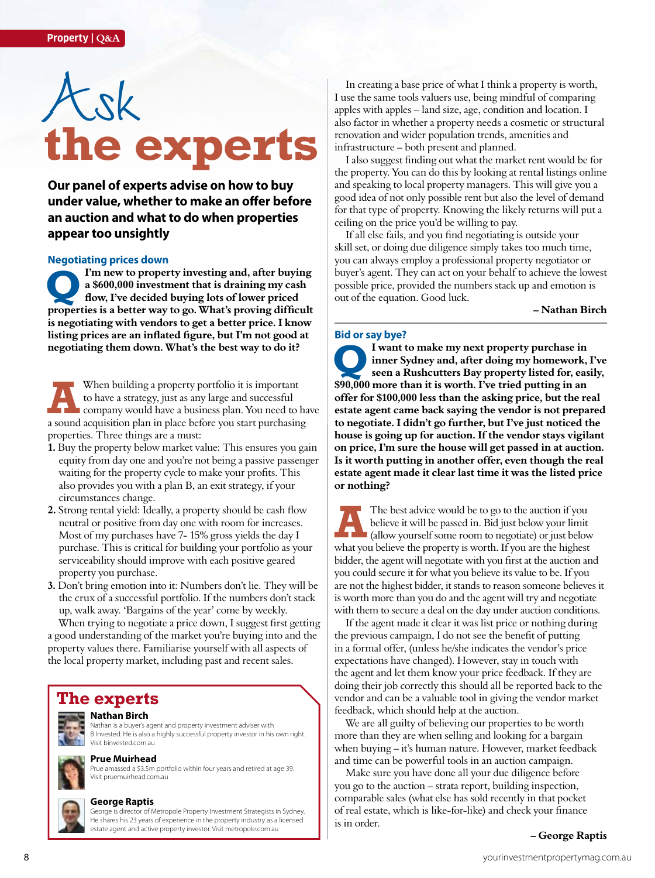# Ask **the experts**

**Our panel of experts advise on how to buy under value, whether to make an offer before an auction and what to do when properties appear too unsightly**

#### **Negotiating prices down**

**Property investing and, after buying a \$600,000 investment that is draining my cash flow, I've decided buying lots of lower priced properties is a better way to go. What's proving difficult I'm new to property investing and, after buying a \$600,000 investment that is draining my cash flow, I've decided buying lots of lower priced is negotiating with vendors to get a better price. I know listing prices are an inflated figure, but I'm not good at negotiating them down. What's the best way to do it?** 

When building a property portfolio it is important to have a strategy, just as any large and successful company would have a business plan. You need to have When building a property portfolio it is important<br>to have a strategy, just as any large and successful<br>company would have a business plan. You need to ha<br>a sound acquisition plan in place before you start purchasing properties. Three things are a must:

- **1.** Buy the property below market value: This ensures you gain equity from day one and you're not being a passive passenger waiting for the property cycle to make your profits. This also provides you with a plan B, an exit strategy, if your circumstances change.
- **2.** Strong rental yield: Ideally, a property should be cash flow neutral or positive from day one with room for increases. Most of my purchases have 7- 15% gross yields the day I purchase. This is critical for building your portfolio as your serviceability should improve with each positive geared property you purchase.
- **3.** Don't bring emotion into it: Numbers don't lie. They will be the crux of a successful portfolio. If the numbers don't stack up, walk away. 'Bargains of the year' come by weekly.

When trying to negotiate a price down, I suggest first getting a good understanding of the market you're buying into and the property values there. Familiarise yourself with all aspects of the local property market, including past and recent sales.

### **The experts**



#### **Nathan Birch**

Nathan is a buyer's agent and property investment adviser with B Invested. He is also a highly successful property investor in his own right. Visit binvested.com.au

#### **Prue Muirhead**

Prue amassed a \$3.5m portfolio within four years and retired at age 39. Visit pruemuirhead.com.au



#### **George Raptis**

George is director of Metropole Property Investment Strategists in Sydney. He shares his 23 years of experience in the property industry as a licensed estate agent and active property investor. Visit metropole.com.au

In creating a base price of what I think a property is worth, I use the same tools valuers use, being mindful of comparing apples with apples – land size, age, condition and location. I also factor in whether a property needs a cosmetic or structural renovation and wider population trends, amenities and infrastructure – both present and planned.

I also suggest finding out what the market rent would be for the property. You can do this by looking at rental listings online and speaking to local property managers. This will give you a good idea of not only possible rent but also the level of demand for that type of property. Knowing the likely returns will put a ceiling on the price you'd be willing to pay.

If all else fails, and you find negotiating is outside your skill set, or doing due diligence simply takes too much time, you can always employ a professional property negotiator or buyer's agent. They can act on your behalf to achieve the lowest possible price, provided the numbers stack up and emotion is out of the equation. Good luck.

**– Nathan Birch**

#### **Bid or say bye?**

**Q I want to make my next property purchase in inner Sydney and, after doing my homework, I've seen a Rushcutters Bay property listed for, easily, \$90,000 more than it is worth. I've tried putting in an offer for \$100,000 less than the asking price, but the real estate agent came back saying the vendor is not prepared to negotiate. I didn't go further, but I've just noticed the house is going up for auction. If the vendor stays vigilant on price, I'm sure the house will get passed in at auction. Is it worth putting in another offer, even though the real estate agent made it clear last time it was the listed price or nothing?**

The best advice would be to go to the auction if you believe it will be passed in. Bid just below your limit (allow yourself some room to negotiate) or just below The best advice would be to go to the auction if you believe it will be passed in. Bid just below your limit (allow yourself some room to negotiate) or just below what you believe the property is worth. If you are the high bidder, the agent will negotiate with you first at the auction and you could secure it for what you believe its value to be. If you are not the highest bidder, it stands to reason someone believes it is worth more than you do and the agent will try and negotiate with them to secure a deal on the day under auction conditions.

If the agent made it clear it was list price or nothing during the previous campaign, I do not see the benefit of putting in a formal offer, (unless he/she indicates the vendor's price expectations have changed). However, stay in touch with the agent and let them know your price feedback. If they are doing their job correctly this should all be reported back to the vendor and can be a valuable tool in giving the vendor market feedback, which should help at the auction.

We are all guilty of believing our properties to be worth more than they are when selling and looking for a bargain when buying – it's human nature. However, market feedback and time can be powerful tools in an auction campaign.

Make sure you have done all your due diligence before you go to the auction – strata report, building inspection, comparable sales (what else has sold recently in that pocket of real estate, which is like-for-like) and check your finance is in order.